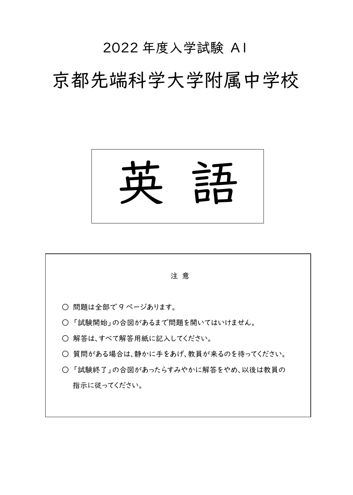# 2022 年度入学試験 A1

# 京都先端科学大学附属中学校



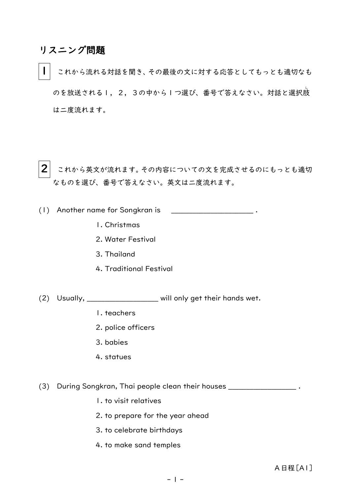#### リスニング問題

これから流れる対話を聞き、その最後の文に対する応答としてもっとも適切なも のを放送される I ,2,3の中から I つ選び、番号で答えなさい。対話と選択肢 は二度流れます。

 $2|$  これから英文が流れます。その内容についての文を完成させるのにもっとも適切 なものを選び、番号で答えなさい。英文は二度流れます。

(1) Another name for Songkran is

- 1. Christmas
- 2. Water Festival
- 3. Thailand
- 4. Traditional Festival

(2) Usually, \_\_\_\_\_\_\_\_\_\_\_\_\_\_\_\_\_\_\_\_ will only get their hands wet.

- 1. teachers
- 2. police officers
- 3. babies
- 4. statues
- (3) During Songkran, Thai people clean their houses \_\_\_\_\_\_\_\_\_\_\_\_\_\_\_\_\_\_\_ .
	- 1. to visit relatives
	- 2. to prepare for the year ahead
	- 3. to celebrate birthdays
	- 4. to make sand temples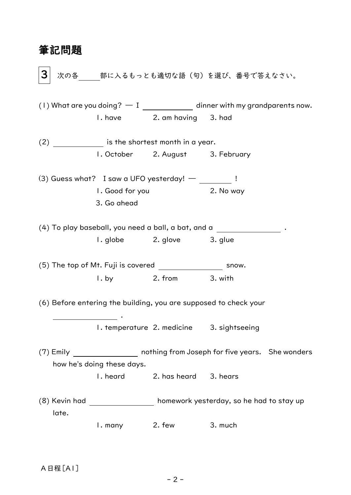### 筆記問題

 $3^{+}$ 次の各 部に入るもっとも適切な語(句)を選び、番号で答えなさい。 (1) What are you doing?  $- I$  dinner with my grandparents now. 1. have 2. am having 3. had (2) is the shortest month in a year. 1. October 2. August 3. February (3) Guess what? I saw a UFO yesterday!  $-$  \_\_\_\_\_\_\_\_ ! 1. Good for you 2. No way 3. Go ahead (4) To play baseball, you need a ball, a bat, and a . 1. globe 2. glove 3. glue  $(5)$  The top of Mt. Fuji is covered  $\frac{1}{\sqrt{1-\frac{1}{2}}}\sqrt{1-\frac{1}{2}}$  snow. 1. by 2. from 3. with (6) Before entering the building, you are supposed to check your . 1. temperature 2. medicine 3. sightseeing (7) Emily nothing from Joseph for five years. She wonders how he's doing these days. 1. heard 2. has heard 3. hears (8) Kevin had homework yesterday, so he had to stay up late. 1. many 2. few 3. much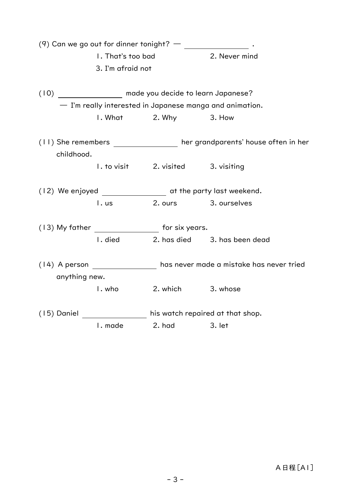(9) Can we go out for dinner tonight? —  $\qquad \qquad$ . 1. That's too bad 2. Never mind 3. I'm afraid not (10) made you decide to learn Japanese? ― I'm really interested in Japanese manga and animation. 1. What 2. Why 3. How (11) She remembers her grandparents' house often in her childhood. 1. to visit 2. visited 3. visiting (12) We enjoyed at the party last weekend. 1. us 2. ours 3. ourselves (13) My father for six years. 1. died 2. has died 3. has been dead (14) A person has never made a mistake has never tried anything new. 1. who 2. which 3. whose (15) Daniel his watch repaired at that shop. 1. made 2. had 3. let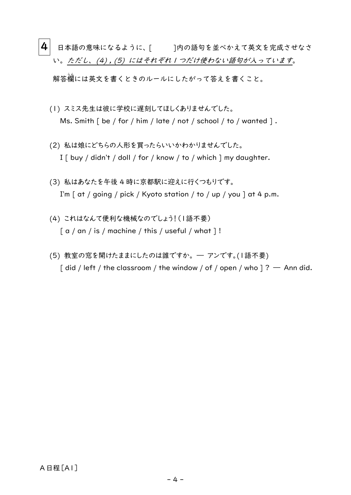- $\vert {\bf 4}\vert$  日本語の意味になるように、[ ]内の語句を並べかえて英文を完成させなさ い。ただし、(4), (5) にはそれぞれ1つだけ使わない語句が入っています。 解答欄 らん には英文を書くときのルールにしたがって答えを書くこと。
	- (1) スミス先生は彼に学校に遅刻してほしくありませんでした。 Ms. Smith [ be / for / him / late / not / school / to / wanted ].
	- (2) 私は娘にどちらの人形を買ったらいいかわかりませんでした。 I [ buy / didn't / doll / for / know / to / which ] my daughter.
	- (3) 私はあなたを午後 4 時に京都駅に迎えに行くつもりです。 I'm  $\lceil$  at / going / pick / Kyoto station / to / up / you  $\lceil$  at 4 p.m.
	- (4) これはなんて便利な機械なのでしょう!(1語不要)  $\lceil a / an / is / machine / this / useful / what \rceil!$
	- (5) 教室の窓を開けたままにしたのは誰ですか。 ― アンです。(1語不要)  $\int$  did / left / the classroom / the window / of / open / who  $\int$  ? — Ann did.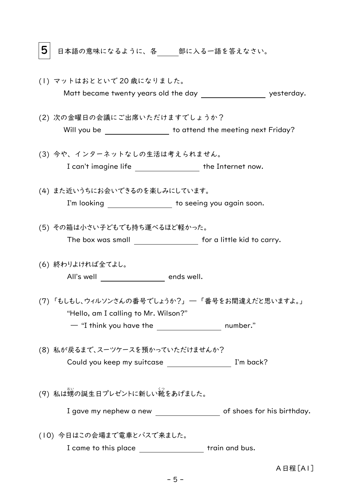5 日本語の意味になるように、各 部に入る一語を答えなさい。

- (1) マットはおとといで 20 歳になりました。 Matt became twenty years old the day verture that yesterday.
- (2) 次の金曜日の会議にご出席いただけますでしょうか? Will you be to attend the meeting next Friday?
- (3) 今や、インターネットなしの生活は考えられません。 I can't imagine life \_\_\_\_\_\_\_\_\_\_\_\_\_\_\_\_\_ the Internet now.
- (4) また近いうちにお会いできるのを楽しみにしています。 I'm looking \_\_\_\_\_\_\_\_\_\_\_\_\_\_\_\_\_ to seeing you again soon.
- (5) その箱は小さい子どもでも持ち運べるほど軽かった。 The box was small **Form a** for a little kid to carry.
- (6) 終わりよければ全てよし。 All's well \_\_\_\_\_\_\_\_\_\_\_\_\_\_\_\_\_\_ ends well.
- (7) 「もしもし、ウィルソンさんの番号でしょうか?」 ― 「番号をお間違えだと思いますよ。」 "Hello, am I calling to Mr. Wilson?" — "I think you have the **number.**"
- (8) 私が戻るまで、スーツケースを預かっていただけませんか? Could you keep my suitcase \_\_\_\_\_\_\_\_\_\_\_\_\_\_\_\_\_\_\_\_\_\_ I'm back?
- (9) 私は甥の誕生日プレゼントに新しい靴をあげました。

I gave my nephew a new state of shoes for his birthday.

(10) 今日はこの会場まで電車とバスで来ました。 I came to this place \_\_\_\_\_\_\_\_\_\_\_\_\_\_\_\_\_\_ train and bus.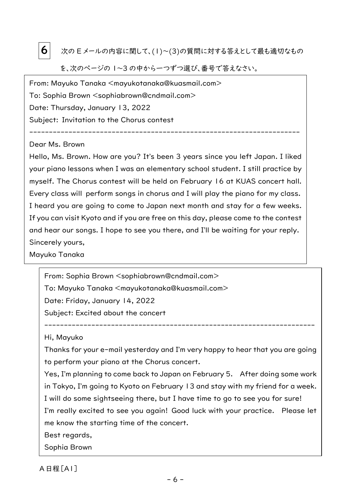

 $\left. 6 \right|$  次の E メールの内容に関して、(1)〜(3)の質問に対する答えとして最も適切なもの

を、次のページの 1〜3 の中から一つずつ選び、番号で答えなさい。

From: Mayuko Tanaka <mayukotanaka@kuasmail.com> To: Sophia Brown <sophiabrown@cndmail.com> Date: Thursday, January 13, 2022 Subject: Invitation to the Chorus contest

#### Dear Ms. Brown

Hello, Ms. Brown. How are you? It's been 3 years since you left Japan. I liked your piano lessons when I was an elementary school student. I still practice by myself. The Chorus contest will be held on February 16 at KUAS concert hall. Every class will perform songs in chorus and I will play the piano for my class. I heard you are going to come to Japan next month and stay for a few weeks. If you can visit Kyoto and if you are free on this day, please come to the contest and hear our songs. I hope to see you there, and I'll be waiting for your reply. Sincerely yours,

---------------------------------------------------------------------

Mayuko Tanaka

From: Sophia Brown <sophiabrown@cndmail.com> To: Mayuko Tanaka <mayukotanaka@kuasmail.com> Date: Friday, January 14, 2022 Subject: Excited about the concert

Hi, Mayuko

Thanks for your e-mail yesterday and I'm very happy to hear that you are going to perform your piano at the Chorus concert.

---------------------------------------------------------------------

Yes, I'm planning to come back to Japan on February 5. After doing some work in Tokyo, I'm going to Kyoto on February 13 and stay with my friend for a week. I will do some sightseeing there, but I have time to go to see you for sure! I'm really excited to see you again! Good luck with your practice. Please let me know the starting time of the concert.

Best regards,

Sophia Brown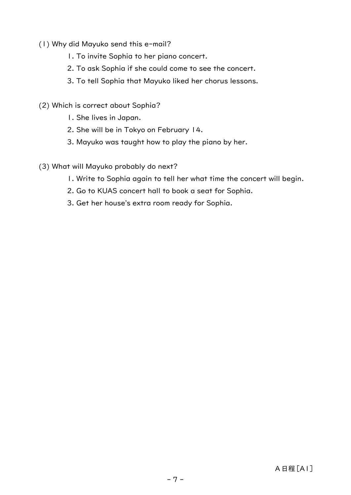- (1) Why did Mayuko send this e-mail?
	- 1. To invite Sophia to her piano concert.
	- 2. To ask Sophia if she could come to see the concert.
	- 3. To tell Sophia that Mayuko liked her chorus lessons.
- (2) Which is correct about Sophia?
	- 1. She lives in Japan.
	- 2. She will be in Tokyo on February 14.
	- 3. Mayuko was taught how to play the piano by her.
- (3) What will Mayuko probably do next?
	- 1. Write to Sophia again to tell her what time the concert will begin.
	- 2. Go to KUAS concert hall to book a seat for Sophia.
	- 3. Get her house's extra room ready for Sophia.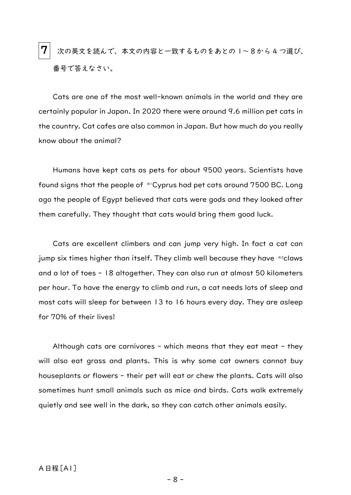$\bf 7$   $\mid$  次の英文を読んで、本文の内容と一致するものをあとのI~8から4つ選び、 番号で答えなさい。

Cats are one of the most well-known animals in the world and they are certainly popular in Japan. In 2020 there were around 9.6 million pet cats in the country. Cat cafes are also common in Japan. But how much do you really know about the animal?

Humans have kept cats as pets for about 9500 years. Scientists have found signs that the people of ※1Cyprus had pet cats around 7500 BC. Long ago the people of Egypt believed that cats were gods and they looked after them carefully. They thought that cats would bring them good luck.

Cats are excellent climbers and can jump very high. In fact a cat can jump six times higher than itself. They climb well because they have ※2claws and a lot of toes - 18 altogether. They can also run at almost 50 kilometers per hour. To have the energy to climb and run, a cat needs lots of sleep and most cats will sleep for between 13 to 16 hours every day. They are asleep for 70% of their lives!

Although cats are carnivores - which means that they eat meat - they will also eat grass and plants. This is why some cat owners cannot buy houseplants or flowers - their pet will eat or chew the plants. Cats will also sometimes hunt small animals such as mice and birds. Cats walk extremely quietly and see well in the dark, so they can catch other animals easily.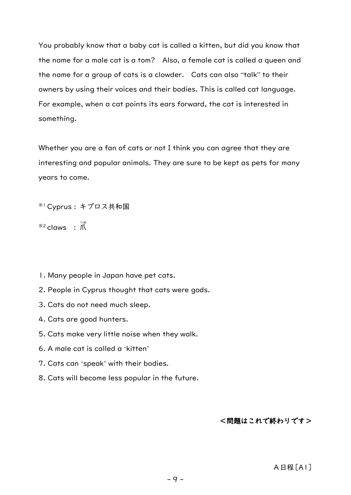You probably know that a baby cat is called a kitten, but did you know that the name for a male cat is a tom? Also, a female cat is called a queen and the name for a group of cats is a clowder. Cats can also "talk" to their owners by using their voices and their bodies. This is called cat language. For example, when a cat points its ears forward, the cat is interested in something.

Whether you are a fan of cats or not I think you can agree that they are interesting and popular animals. They are sure to be kept as pets for many years to come.

```
※1Cyprus : キプロス共和国
```

```
{}^{\divideontimes 2}claws : \vec{\mathcal{M}}
```
- 1. Many people in Japan have pet cats.
- 2. People in Cyprus thought that cats were gods.
- 3. Cats do not need much sleep.
- 4. Cats are good hunters.
- 5. Cats make very little noise when they walk.
- 6. A male cat is called a 'kitten'
- 7. Cats can 'speak' with their bodies.
- 8. Cats will become less popular in the future.

#### <問題はこれで終わりです>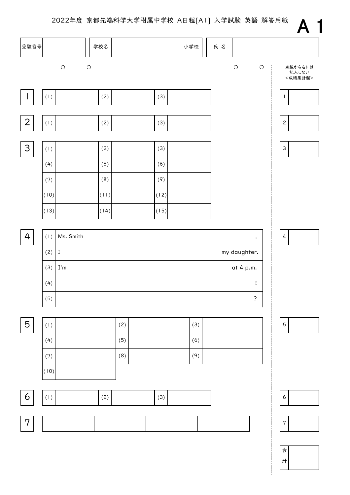2022年度 京都先端科学大学附属中学校 A日程[A1] 入学試験 英語 解答用紙



計 合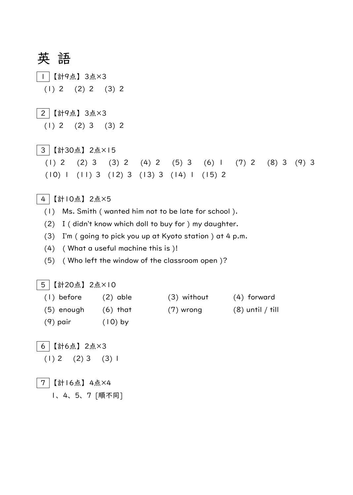英 語

- 1 【計9点】 3点×3
- $(1) 2 (2) 2 (3) 2$
- 2 【計9点】 3点×3
	- (1) 2 (2) 3 (3) 2
- 3 【計30点】 2点×15
	- (1) 2 (2) 3 (3) 2 (4) 2 (5) 3 (6) 1 (7) 2 (8) 3 (9) 3 (10) 1 (11) 3 (12) 3 (13) 3 (14) 1 (15) 2
- 4 【計10点】 2点×5
	- (1) Ms. Smith ( wanted him not to be late for school ).
	- (2) I ( didn't know which doll to buy for ) my daughter.
	- (3) I'm ( going to pick you up at Kyoto station ) at 4 p.m.
	- (4) ( What a useful machine this is )!
	- (5) ( Who left the window of the classroom open )?

#### 5 【計20点】 2点×10

- (1) before (2) able (3) without (4) forward (5) enough (6) that  $(7)$  wrong  $(8)$  until / till (9) pair (10) by
- 6 【計6点】 2点×3  $(1) 2 (2) 3 (3) 1$

7 【計16点】 4点×4

1、 4、 5、 7 [順不同]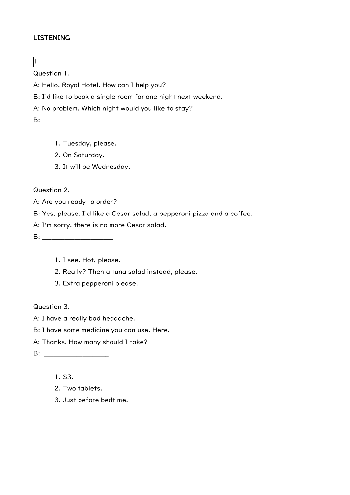#### **LISTENING**

## $\sqrt{1}$

Question 1.

A: Hello, Royal Hotel. How can I help you?

B: I'd like to book a single room for one night next weekend.

A: No problem. Which night would you like to stay?

**B:**  $\blacksquare$ 

- 1. Tuesday, please.
- 2. On Saturday.
- 3. It will be Wednesday.

Question 2.

A: Are you ready to order?

B: Yes, please. I'd like a Cesar salad, a pepperoni pizza and a coffee.

A: I'm sorry, there is no more Cesar salad.

B: \_\_\_\_\_\_\_\_\_\_\_\_\_\_\_\_\_\_\_\_\_\_

1. I see. Hot, please.

2. Really? Then a tuna salad instead, please.

3. Extra pepperoni please.

Question 3.

A: I have a really bad headache.

B: I have some medicine you can use. Here.

A: Thanks. How many should I take?

B: \_\_\_\_\_\_\_\_\_\_\_\_\_\_\_\_\_\_\_\_

1. \$3.

- 2. Two tablets.
- 3. Just before bedtime.